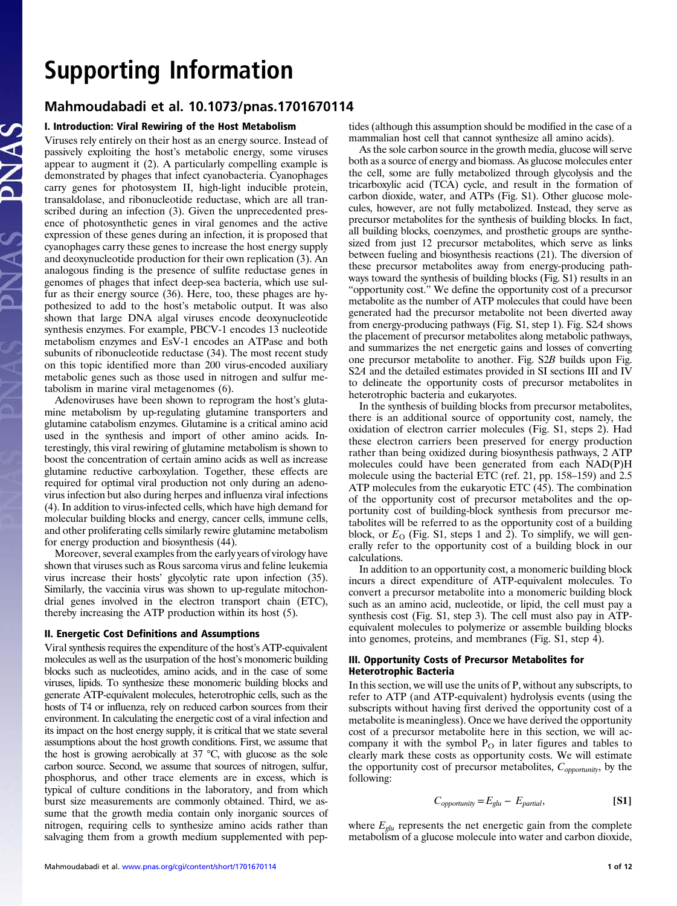# Support Information Information Information Information Information Information Information Information Information Information Information Information Information Information Information Information Information Informatio Mahmoudabadi et al. 10.1073/pnas.1701670114

# I. Introduction: Viral Rewiring of the Host Metabolism

Viruses rely entirely on their host as an energy source. Instead of passively exploiting the host's metabolic energy, some viruses appear to augment it (2). A particularly compelling example is demonstrated by phages that infect cyanobacteria. Cyanophages carry genes for photosystem II, high-light inducible protein, transaldolase, and ribonucleotide reductase, which are all transcribed during an infection (3). Given the unprecedented presence of photosynthetic genes in viral genomes and the active expression of these genes during an infection, it is proposed that cyanophages carry these genes to increase the host energy supply and deoxynucleotide production for their own replication (3). An analogous finding is the presence of sulfite reductase genes in genomes of phages that infect deep-sea bacteria, which use sulfur as their energy source (36). Here, too, these phages are hypothesized to add to the host's metabolic output. It was also shown that large DNA algal viruses encode deoxynucleotide synthesis enzymes. For example, PBCV-1 encodes 13 nucleotide metabolism enzymes and EsV-1 encodes an ATPase and both subunits of ribonucleotide reductase (34). The most recent study on this topic identified more than 200 virus-encoded auxiliary metabolic genes such as those used in nitrogen and sulfur metabolism in marine viral metagenomes (6).

Adenoviruses have been shown to reprogram the host's glutamine metabolism by up-regulating glutamine transporters and glutamine catabolism enzymes. Glutamine is a critical amino acid used in the synthesis and import of other amino acids. Interestingly, this viral rewiring of glutamine metabolism is shown to boost the concentration of certain amino acids as well as increase glutamine reductive carboxylation. Together, these effects are required for optimal viral production not only during an adenovirus infection but also during herpes and influenza viral infections (4). In addition to virus-infected cells, which have high demand for molecular building blocks and energy, cancer cells, immune cells, and other proliferating cells similarly rewire glutamine metabolism for energy production and biosynthesis (44).

Moreover, several examples from the early years of virology have shown that viruses such as Rous sarcoma virus and feline leukemia virus increase their hosts' glycolytic rate upon infection (35). Similarly, the vaccinia virus was shown to up-regulate mitochondrial genes involved in the electron transport chain (ETC), thereby increasing the ATP production within its host (5).

# II. Energetic Cost Definitions and Assumptions

Viral synthesis requires the expenditure of the host's ATP-equivalent molecules as well as the usurpation of the host's monomeric building blocks such as nucleotides, amino acids, and in the case of some viruses, lipids. To synthesize these monomeric building blocks and generate ATP-equivalent molecules, heterotrophic cells, such as the hosts of T4 or influenza, rely on reduced carbon sources from their environment. In calculating the energetic cost of a viral infection and its impact on the host energy supply, it is critical that we state several assumptions about the host growth conditions. First, we assume that the host is growing aerobically at  $37 \text{ °C}$ , with glucose as the sole carbon source. Second, we assume that sources of nitrogen, sulfur, phosphorus, and other trace elements are in excess, which is typical of culture conditions in the laboratory, and from which burst size measurements are commonly obtained. Third, we assume that the growth media contain only inorganic sources of nitrogen, requiring cells to synthesize amino acids rather than salvaging them from a growth medium supplemented with pep-

tides (although this assumption should be modified in the case of a mammalian host cell that cannot synthesize all amino acids).

As the sole carbon source in the growth media, glucose will serve both as a source of energy and biomass. As glucose molecules enter the cell, some are fully metabolized through glycolysis and the tricarboxylic acid (TCA) cycle, and result in the formation of carbon dioxide, water, and ATPs (Fig. S1). Other glucose molecules, however, are not fully metabolized. Instead, they serve as precursor metabolites for the synthesis of building blocks. In fact, all building blocks, coenzymes, and prosthetic groups are synthesized from just 12 precursor metabolites, which serve as links between fueling and biosynthesis reactions (21). The diversion of these precursor metabolites away from energy-producing pathways toward the synthesis of building blocks (Fig. S1) results in an "opportunity cost." We define the opportunity cost of a precursor metabolite as the number of ATP molecules that could have been generated had the precursor metabolite not been diverted away from energy-producing pathways (Fig. S1, step 1). Fig. S2A shows the placement of precursor metabolites along metabolic pathways, and summarizes the net energetic gains and losses of converting one precursor metabolite to another. Fig. S2B builds upon Fig. S2A and the detailed estimates provided in SI sections III and IV to delineate the opportunity costs of precursor metabolites in heterotrophic bacteria and eukaryotes.

In the synthesis of building blocks from precursor metabolites, there is an additional source of opportunity cost, namely, the oxidation of electron carrier molecules (Fig. S1, steps 2). Had these electron carriers been preserved for energy production rather than being oxidized during biosynthesis pathways, 2 ATP molecules could have been generated from each NAD(P)H molecule using the bacterial ETC (ref. 21, pp. 158–159) and 2.5 ATP molecules from the eukaryotic ETC  $(45)$ . The combination of the opportunity cost of precursor metabolites and the opportunity cost of building-block synthesis from precursor metabolites will be referred to as the opportunity cost of a building block, or  $E<sub>O</sub>$  (Fig. S1, steps 1 and 2). To simplify, we will generally refer to the opportunity cost of a building block in our calculations.

In addition to an opportunity cost, a monomeric building block incurs a direct expenditure of ATP-equivalent molecules. To convert a precursor metabolite into a monomeric building block such as an amino acid, nucleotide, or lipid, the cell must pay a synthesis cost (Fig. S1, step 3). The cell must also pay in ATPequivalent molecules to polymerize or assemble building blocks into genomes, proteins, and membranes (Fig. S1, step 4).

# III. Opportunity Costs of Precursor Metabolites for Heterotrophic Bacteria

In this section, we will use the units of P, without any subscripts, to refer to ATP (and ATP-equivalent) hydrolysis events (using the subscripts without having first derived the opportunity cost of a metabolite is meaningless). Once we have derived the opportunity cost of a precursor metabolite here in this section, we will accompany it with the symbol  $P<sub>O</sub>$  in later figures and tables to clearly mark these costs as opportunity costs. We will estimate the opportunity cost of precursor metabolites,  $C_{\text{op}$ following:

$$
C_{\text{opportionity}} = E_{\text{glu}} - E_{\text{partial}}, \tag{S1}
$$

where  $E_{glu}$  represents the net energetic gain from the complete metabolism of a glucose molecule into water and carbon dioxide,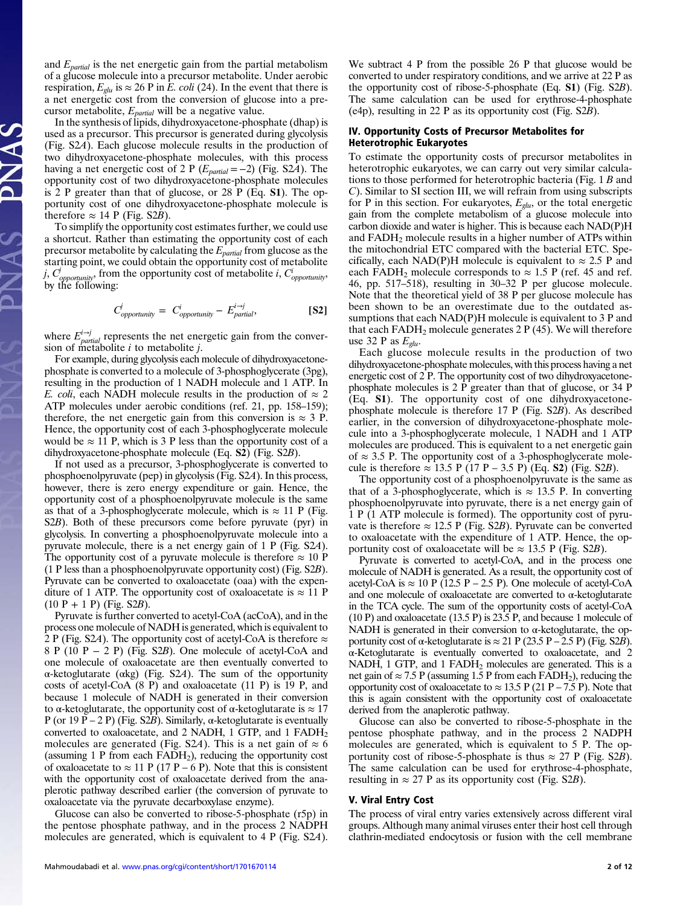and  $E_{partial}$  is the net energetic gain from the partial metabolism of a glucose molecule into a precursor metabolite. Under aerobic respiration,  $E_{glu}$  is  $\approx 26$  P in  $\tilde{E}$ . coli (24). In the event that there is a net energetic cost from the conversion of glucose into a precursor metabolite,  $E_{partial}$  will be a negative value.

In the synthesis of lipids, dihydroxyacetone-phosphate (dhap) is used as a precursor. This precursor is generated during glycolysis (Fig. S2A). Each glucose molecule results in the production of two dihydroxyacetone-phosphate molecules, with this process having a net energetic cost of 2 P ( $E_{partial} = -2$ ) (Fig. S2A). The opportunity cost of two dihydroxyacetone-phosphate molecules is 2 P greater than that of glucose, or 28 P (Eq. S1). The opportunity cost of one dihydroxyacetone-phosphate molecule is therefore  $\approx$  14 P (Fig. S2B).

To simplify the opportunity cost estimates further, we could use a shortcut. Rather than estimating the opportunity cost of each precursor metabolite by calculating the  $E_{partial}$  from glucose as the starting point, we could obtain the opportunity cost of metabolite *i*,  $C_{\text{opportionity}}$ , from the opportunity cost of metabolite *i*,  $C_{\text{opportionity}}$ , by the following:

$$
C_{opportionity}^j = C_{opportionity}^i - E_{partial}^{i \to j}
$$
 [S2]

where  $E_{partial}^{i\rightarrow j}$  represents the net energetic gain from the conversion of metabolite  $i$  to metabolite  $j$ .

For example, during glycolysis each molecule of dihydroxyacetonephosphate is converted to a molecule of 3-phosphoglycerate (3pg), resulting in the production of 1 NADH molecule and 1 ATP. In E. coli, each NADH molecule results in the production of  $\approx 2$ ATP molecules under aerobic conditions (ref. 21, pp. 158–159); therefore, the net energetic gain from this conversion is  $\approx$  3 P. Hence, the opportunity cost of each 3-phosphoglycerate molecule would be  $\approx$  11 P, which is 3 P less than the opportunity cost of a dihydroxyacetone-phosphate molecule (Eq. S2) (Fig. S2B).

If not used as a precursor, 3-phosphoglycerate is converted to phosphoenolpyruvate (pep) in glycolysis (Fig. S2A). In this process, however, there is zero energy expenditure or gain. Hence, the opportunity cost of a phosphoenolpyruvate molecule is the same as that of a 3-phosphoglycerate molecule, which is  $\approx 11$  P (Fig. S2B). Both of these precursors come before pyruvate (pyr) in glycolysis. In converting a phosphoenolpyruvate molecule into a pyruvate molecule, there is a net energy gain of 1 P (Fig. S2A). The opportunity cost of a pyruvate molecule is therefore  $\approx 10$  P (1 P less than a phosphoenolpyruvate opportunity cost) (Fig. S2B). Pyruvate can be converted to oxaloacetate (oaa) with the expenditure of 1 ATP. The opportunity cost of oxaloacetate is  $\approx 11$  P  $(10 P + 1 P)$  (Fig. S2B).

Pyruvate is further converted to acetyl-CoA (acCoA), and in the process one molecule of NADH is generated, which is equivalent to 2 P (Fig. S2A). The opportunity cost of acetyl-CoA is therefore  $\approx$ 8 P (10 P − 2 P) (Fig. S2B). One molecule of acetyl-CoA and one molecule of oxaloacetate are then eventually converted to α-ketoglutarate (αkg) (Fig. S2A). The sum of the opportunity costs of acetyl-CoA (8 P) and oxaloacetate (11 P) is 19 P, and because 1 molecule of NADH is generated in their conversion to  $\alpha$ -ketoglutarate, the opportunity cost of  $\alpha$ -ketoglutarate is  $\approx 17$ P (or 19 P – 2 P) (Fig. S2B). Similarly,  $\alpha$ -ketoglutarate is eventually converted to oxaloacetate, and 2 NADH, 1 GTP, and 1 FADH<sub>2</sub> molecules are generated (Fig. S2A). This is a net gain of  $\approx 6$ (assuming 1 P from each FADH2), reducing the opportunity cost of oxaloacetate to  $\approx$  11 P (17 P – 6 P). Note that this is consistent with the opportunity cost of oxaloacetate derived from the anaplerotic pathway described earlier (the conversion of pyruvate to oxaloacetate via the pyruvate decarboxylase enzyme).

Glucose can also be converted to ribose-5-phosphate (r5p) in the pentose phosphate pathway, and in the process 2 NADPH molecules are generated, which is equivalent to 4 P (Fig. S2A).

We subtract 4 P from the possible 26 P that glucose would be converted to under respiratory conditions, and we arrive at 22 P as the opportunity cost of ribose-5-phosphate (Eq. S1) (Fig. S2B). The same calculation can be used for erythrose-4-phosphate (e4p), resulting in 22 P as its opportunity cost (Fig. S2B).

# IV. Opportunity Costs of Precursor Metabolites for Heterotrophic Eukaryotes

To estimate the opportunity costs of precursor metabolites in heterotrophic eukaryotes, we can carry out very similar calculations to those performed for heterotrophic bacteria (Fig. 1 B and C). Similar to SI section III, we will refrain from using subscripts for P in this section. For eukaryotes,  $E_{glu}$ , or the total energetic gain from the complete metabolism of a glucose molecule into carbon dioxide and water is higher. This is because each NAD(P)H and FADH2 molecule results in a higher number of ATPs within the mitochondrial ETC compared with the bacterial ETC. Specifically, each NAD(P)H molecule is equivalent to  $\approx 2.5$  P and each FADH<sub>2</sub> molecule corresponds to  $\approx$  1.5 P (ref. 45 and ref. 46, pp. 517–518), resulting in 30–32 P per glucose molecule. Note that the theoretical yield of 38 P per glucose molecule has been shown to be an overestimate due to the outdated assumptions that each NAD(P)H molecule is equivalent to 3 P and that each FADH<sub>2</sub> molecule generates 2 P  $(45)$ . We will therefore use 32 P as  $E_{glu}$ .

Each glucose molecule results in the production of two dihydroxyacetone-phosphate molecules, with this process having a net energetic cost of 2 P. The opportunity cost of two dihydroxyacetonephosphate molecules is 2 P greater than that of glucose, or 34 P (Eq. S1). The opportunity cost of one dihydroxyacetonephosphate molecule is therefore 17 P (Fig. S2B). As described earlier, in the conversion of dihydroxyacetone-phosphate molecule into a 3-phosphoglycerate molecule, 1 NADH and 1 ATP molecules are produced. This is equivalent to a net energetic gain of  $\approx$  3.5 P. The opportunity cost of a 3-phosphoglycerate molecule is therefore ≈ 13.5 P (17 P – 3.5 P) (Eq. S2) (Fig. S2B).

The opportunity cost of a phosphoenolpyruvate is the same as that of a 3-phosphoglycerate, which is  $\approx 13.5$  P. In converting phosphoenolpyruvate into pyruvate, there is a net energy gain of 1 P (1 ATP molecule is formed). The opportunity cost of pyruvate is therefore  $\approx 12.5$  P (Fig. S2B). Pyruvate can be converted to oxaloacetate with the expenditure of 1 ATP. Hence, the opportunity cost of oxaloacetate will be  $\approx 13.5$  P (Fig. S2B).

Pyruvate is converted to acetyl-CoA, and in the process one molecule of NADH is generated. As a result, the opportunity cost of acetyl-CoA is  $\approx$  10 P (12.5 P – 2.5 P). One molecule of acetyl-CoA and one molecule of oxaloacetate are converted to  $\alpha$ -ketoglutarate in the TCA cycle. The sum of the opportunity costs of acetyl-CoA (10 P) and oxaloacetate (13.5 P) is 23.5 P, and because 1 molecule of NADH is generated in their conversion to  $\alpha$ -ketoglutarate, the opportunity cost of α-ketoglutarate is  $\approx$  21 P (23.5 P – 2.5 P) (Fig. S2B). α-Ketoglutarate is eventually converted to oxaloacetate, and 2 NADH, 1 GTP, and 1 FADH<sub>2</sub> molecules are generated. This is a net gain of  $\approx$  7.5 P (assuming 1.5 P from each FADH<sub>2</sub>), reducing the opportunity cost of oxaloacetate to  $\approx 13.5 \text{ P } (21 \text{ P } -7.5 \text{ P})$ . Note that this is again consistent with the opportunity cost of oxaloacetate derived from the anaplerotic pathway.

Glucose can also be converted to ribose-5-phosphate in the pentose phosphate pathway, and in the process 2 NADPH molecules are generated, which is equivalent to 5 P. The opportunity cost of ribose-5-phosphate is thus  $\approx 27$  P (Fig. S2B). The same calculation can be used for erythrose-4-phosphate, resulting in  $\approx 27$  P as its opportunity cost (Fig. S2B).

# V. Viral Entry Cost

The process of viral entry varies extensively across different viral groups. Although many animal viruses enter their host cell through clathrin-mediated endocytosis or fusion with the cell membrane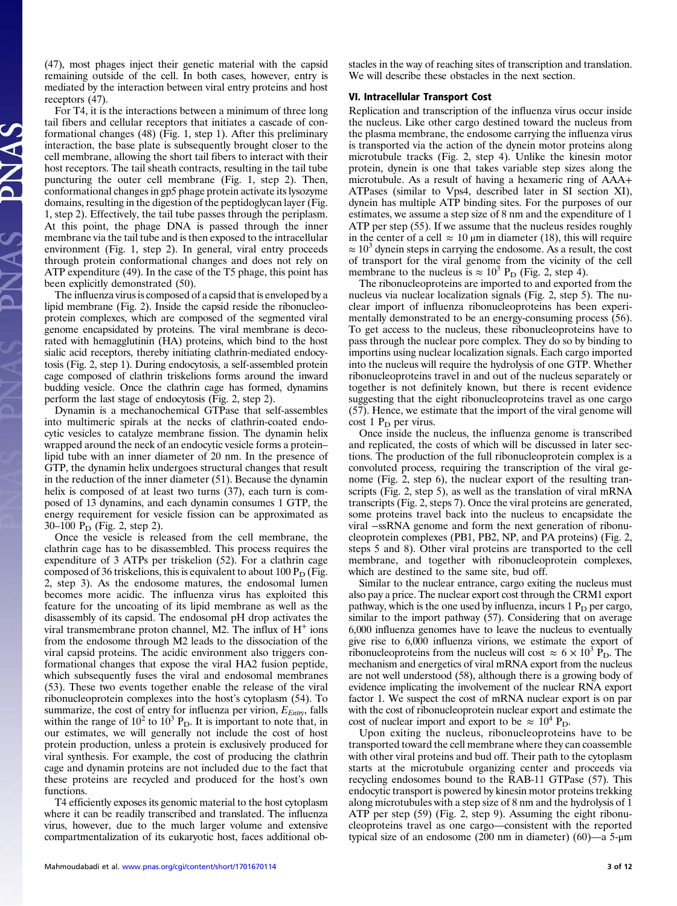(47), most phages inject their genetic material with the capsid remaining outside of the cell. In both cases, however, entry is mediated by the interaction between viral entry proteins and host receptors (47).

For T4, it is the interactions between a minimum of three long tail fibers and cellular receptors that initiates a cascade of conformational changes (48) (Fig. 1, step 1). After this preliminary interaction, the base plate is subsequently brought closer to the cell membrane, allowing the short tail fibers to interact with their host receptors. The tail sheath contracts, resulting in the tail tube puncturing the outer cell membrane (Fig. 1, step 2). Then, conformational changes in gp5 phage protein activate its lysozyme domains, resulting in the digestion of the peptidoglycan layer (Fig. 1, step 2). Effectively, the tail tube passes through the periplasm. At this point, the phage DNA is passed through the inner membrane via the tail tube and is then exposed to the intracellular environment (Fig. 1, step 2). In general, viral entry proceeds through protein conformational changes and does not rely on ATP expenditure (49). In the case of the T5 phage, this point has been explicitly demonstrated (50).

The influenza virus is composed of a capsid that is enveloped by a lipid membrane (Fig. 2). Inside the capsid reside the ribonucleoprotein complexes, which are composed of the segmented viral genome encapsidated by proteins. The viral membrane is decorated with hemagglutinin (HA) proteins, which bind to the host sialic acid receptors, thereby initiating clathrin-mediated endocytosis (Fig. 2, step 1). During endocytosis, a self-assembled protein cage composed of clathrin triskelions forms around the inward budding vesicle. Once the clathrin cage has formed, dynamins perform the last stage of endocytosis (Fig. 2, step 2).

Dynamin is a mechanochemical GTPase that self-assembles into multimeric spirals at the necks of clathrin-coated endocytic vesicles to catalyze membrane fission. The dynamin helix wrapped around the neck of an endocytic vesicle forms a protein– lipid tube with an inner diameter of 20 nm. In the presence of GTP, the dynamin helix undergoes structural changes that result in the reduction of the inner diameter (51). Because the dynamin helix is composed of at least two turns  $(37)$ , each turn is composed of 13 dynamins, and each dynamin consumes 1 GTP, the energy requirement for vesicle fission can be approximated as 30–100  $P_D$  (Fig. 2, step 2).

Once the vesicle is released from the cell membrane, the clathrin cage has to be disassembled. This process requires the expenditure of 3 ATPs per triskelion (52). For a clathrin cage composed of 36 triskelions, this is equivalent to about  $100 P_D$  (Fig. 2, step 3). As the endosome matures, the endosomal lumen becomes more acidic. The influenza virus has exploited this feature for the uncoating of its lipid membrane as well as the disassembly of its capsid. The endosomal pH drop activates the viral transmembrane proton channel, M2. The influx of  $H^+$  ions from the endosome through M2 leads to the dissociation of the viral capsid proteins. The acidic environment also triggers conformational changes that expose the viral HA2 fusion peptide, which subsequently fuses the viral and endosomal membranes (53). These two events together enable the release of the viral ribonucleoprotein complexes into the host's cytoplasm (54). To summarize, the cost of entry for influenza per virion,  $E_{\text{Fnty}}$ , falls within the range of  $10^2$  to  $10^3$  P<sub>D</sub>. It is important to note that, in our estimates, we will generally not include the cost of host protein production, unless a protein is exclusively produced for viral synthesis. For example, the cost of producing the clathrin cage and dynamin proteins are not included due to the fact that these proteins are recycled and produced for the host's own functions.

T4 efficiently exposes its genomic material to the host cytoplasm where it can be readily transcribed and translated. The influenza virus, however, due to the much larger volume and extensive compartmentalization of its eukaryotic host, faces additional obstacles in the way of reaching sites of transcription and translation. We will describe these obstacles in the next section.

# VI. Intracellular Transport Cost

Replication and transcription of the influenza virus occur inside the nucleus. Like other cargo destined toward the nucleus from the plasma membrane, the endosome carrying the influenza virus is transported via the action of the dynein motor proteins along microtubule tracks (Fig. 2, step 4). Unlike the kinesin motor protein, dynein is one that takes variable step sizes along the microtubule. As a result of having a hexameric ring of AAA+ ATPases (similar to Vps4, described later in SI section XI), dynein has multiple ATP binding sites. For the purposes of our estimates, we assume a step size of 8 nm and the expenditure of 1 ATP per step (55). If we assume that the nucleus resides roughly in the center of a cell  $\approx 10 \,\mu m$  in diameter (18), this will require  $\approx 10^3$  dynein steps in carrying the endosome. As a result, the cost of transport for the viral genome from the vicinity of the cell membrane to the nucleus is  $\approx 10^3$  P<sub>D</sub> (Fig. 2, step 4).

The ribonucleoproteins are imported to and exported from the nucleus via nuclear localization signals (Fig. 2, step 5). The nuclear import of influenza ribonucleoproteins has been experimentally demonstrated to be an energy-consuming process (56). To get access to the nucleus, these ribonucleoproteins have to pass through the nuclear pore complex. They do so by binding to importins using nuclear localization signals. Each cargo imported into the nucleus will require the hydrolysis of one GTP. Whether ribonucleoproteins travel in and out of the nucleus separately or together is not definitely known, but there is recent evidence suggesting that the eight ribonucleoproteins travel as one cargo (57). Hence, we estimate that the import of the viral genome will cost 1  $P_D$  per virus.

Once inside the nucleus, the influenza genome is transcribed and replicated, the costs of which will be discussed in later sections. The production of the full ribonucleoprotein complex is a convoluted process, requiring the transcription of the viral genome (Fig. 2, step 6), the nuclear export of the resulting transcripts (Fig. 2, step 5), as well as the translation of viral mRNA transcripts (Fig. 2, steps 7). Once the viral proteins are generated, some proteins travel back into the nucleus to encapsidate the viral −ssRNA genome and form the next generation of ribonucleoprotein complexes (PB1, PB2, NP, and PA proteins) (Fig. 2, steps 5 and 8). Other viral proteins are transported to the cell membrane, and together with ribonucleoprotein complexes, which are destined to the same site, bud off.

Similar to the nuclear entrance, cargo exiting the nucleus must also pay a price. The nuclear export cost through the CRM1 export pathway, which is the one used by influenza, incurs  $1 P<sub>D</sub>$  per cargo, similar to the import pathway (57). Considering that on average 6,000 influenza genomes have to leave the nucleus to eventually give rise to 6,000 influenza virions, we estimate the export of ribonucleoproteins from the nucleus will cost  $\approx 6 \times 10^3$  P<sub>D</sub>. The mechanism and energetics of viral mRNA export from the nucleus are not well understood (58), although there is a growing body of evidence implicating the involvement of the nuclear RNA export factor 1. We suspect the cost of mRNA nuclear export is on par with the cost of ribonucleoprotein nuclear export and estimate the cost of nuclear import and export to be  $\approx 10^4$  P<sub>D</sub>.

Upon exiting the nucleus, ribonucleoproteins have to be transported toward the cell membrane where they can coassemble with other viral proteins and bud off. Their path to the cytoplasm starts at the microtubule organizing center and proceeds via recycling endosomes bound to the RAB-11 GTPase (57). This endocytic transport is powered by kinesin motor proteins trekking along microtubules with a step size of 8 nm and the hydrolysis of 1 ATP per step (59) (Fig. 2, step 9). Assuming the eight ribonucleoproteins travel as one cargo—consistent with the reported typical size of an endosome (200 nm in diameter) (60)—a 5-μm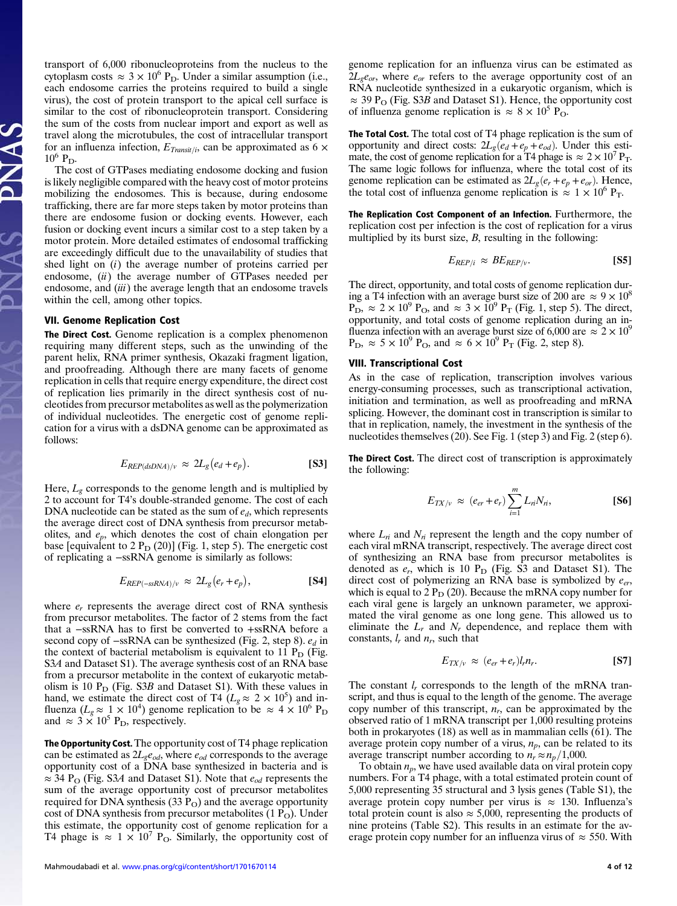transport of 6,000 ribonucleoproteins from the nucleus to the cytoplasm costs  $\approx 3 \times 10^6$  P<sub>D</sub>. Under a similar assumption (i.e., each endosome carries the proteins required to build a single virus), the cost of protein transport to the apical cell surface is similar to the cost of ribonucleoprotein transport. Considering the sum of the costs from nuclear import and export as well as travel along the microtubules, the cost of intracellular transport for an influenza infection,  $E_{Transit/i}$ , can be approximated as 6  $\times$  $10^6$  P<sub>D</sub>.

The cost of GTPases mediating endosome docking and fusion is likely negligible compared with the heavy cost of motor proteins mobilizing the endosomes. This is because, during endosome trafficking, there are far more steps taken by motor proteins than there are endosome fusion or docking events. However, each fusion or docking event incurs a similar cost to a step taken by a motor protein. More detailed estimates of endosomal trafficking are exceedingly difficult due to the unavailability of studies that shed light on (i) the average number of proteins carried per endosome, *(ii)* the average number of GTPases needed per endosome, and (iii) the average length that an endosome travels within the cell, among other topics.

#### VII. Genome Replication Cost

The Direct Cost. Genome replication is a complex phenomenon requiring many different steps, such as the unwinding of the parent helix, RNA primer synthesis, Okazaki fragment ligation, and proofreading. Although there are many facets of genome replication in cells that require energy expenditure, the direct cost of replication lies primarily in the direct synthesis cost of nucleotides from precursor metabolites as well as the polymerization of individual nucleotides. The energetic cost of genome replication for a virus with a dsDNA genome can be approximated as follows:

$$
E_{REP(dsDNA)/\nu} \approx 2L_g(e_d+e_p). \tag{S3}
$$

Here,  $L_g$  corresponds to the genome length and is multiplied by 2 to account for T4's double-stranded genome. The cost of each DNA nucleotide can be stated as the sum of  $e_d$ , which represents the average direct cost of DNA synthesis from precursor metabolites, and  $e_p$ , which denotes the cost of chain elongation per base [equivalent to  $2 P_D (20)$ ] (Fig. 1, step 5). The energetic cost of replicating a −ssRNA genome is similarly as follows:

$$
E_{REP(-ssRNA)/v} \approx 2L_g(e_r+e_p), \qquad \qquad \textbf{[S4]}
$$

where  $e_r$  represents the average direct cost of RNA synthesis from precursor metabolites. The factor of 2 stems from the fact that a −ssRNA has to first be converted to +ssRNA before a second copy of −ssRNA can be synthesized (Fig. 2, step 8).  $e_d$  in the context of bacterial metabolism is equivalent to 11  $P_D$  (Fig. S3A and Dataset S1). The average synthesis cost of an RNA base from a precursor metabolite in the context of eukaryotic metabolism is 10  $P_D$  (Fig. S3B and Dataset S1). With these values in hand, we estimate the direct cost of T4 ( $L_g \approx 2 \times 10^5$ ) and influenza ( $L_g \approx 1 \times 10^4$ ) genome replication to be  $\approx 4 \times 10^6$  P<sub>D</sub> and  $\approx 3 \times 10^5$  P<sub>D</sub>, respectively.

The Opportunity Cost. The opportunity cost of T4 phage replication can be estimated as  $2L_{g}e_{od}$ , where  $e_{od}$  corresponds to the average opportunity cost of a DNA base synthesized in bacteria and is  $\approx$  34 P<sub>O</sub> (Fig. S3A and Dataset S1). Note that  $e_{od}$  represents the sum of the average opportunity cost of precursor metabolites required for DNA synthesis  $(33 P<sub>O</sub>)$  and the average opportunity cost of DNA synthesis from precursor metabolites  $(1 P<sub>O</sub>)$ . Under this estimate, the opportunity cost of genome replication for a T4 phage is  $\approx 1 \times 10^7$  P<sub>O</sub>. Similarly, the opportunity cost of

genome replication for an influenza virus can be estimated as  $2L_{g}e_{or}$ , where  $e_{or}$  refers to the average opportunity cost of an RNA nucleotide synthesized in a eukaryotic organism, which is  $\approx$  39 P<sub>O</sub> (Fig. S3B and Dataset S1). Hence, the opportunity cost of influenza genome replication is  $\approx 8 \times 10^5$  P<sub>O</sub>.

The Total Cost. The total cost of T4 phage replication is the sum of opportunity and direct costs:  $2L_g(e_d + e_p + e_{od})$ . Under this estimate, the cost of genome replication for a T4 phage is  $\approx 2 \times 10^7$  P<sub>T</sub>. The same logic follows for influenza, where the total cost of its genome replication can be estimated as  $2L_g(e_r + e_p + e_{or})$ . Hence, the total cost of influenza genome replication is  $\approx 1 \times 10^6$  P<sub>T</sub>.

The Replication Cost Component of an Infection. Furthermore, the replication cost per infection is the cost of replication for a virus multiplied by its burst size,  $B$ , resulting in the following:

$$
E_{REP/i} \approx BE_{REP/\nu}.\tag{S5}
$$

The direct, opportunity, and total costs of genome replication during a T4 infection with an average burst size of 200 are  $\approx 9 \times 10^8$  $\overline{P_D}$ ,  $\approx 2 \times 10^9$   $\overline{P_O}$ , and  $\approx 3 \times 10^9$   $\overline{P_T}$  (Fig. 1, step 5). The direct, opportunity, and total costs of genome replication during an influenza infection with an average burst size of 6,000 are  $\approx 2 \times 10^9$  $P_D$ ,  $\approx 5 \times 10^9$   $P_O$ , and  $\approx 6 \times 10^9$   $P_T$  (Fig. 2, step 8).

#### VIII. Transcriptional Cost

As in the case of replication, transcription involves various energy-consuming processes, such as transcriptional activation, initiation and termination, as well as proofreading and mRNA splicing. However, the dominant cost in transcription is similar to that in replication, namely, the investment in the synthesis of the nucleotides themselves (20). See Fig. 1 (step 3) and Fig. 2 (step 6).

The Direct Cost. The direct cost of transcription is approximately the following:

$$
E_{TX/\nu} \approx (e_{er} + e_r) \sum_{i=1}^{m} L_{ri} N_{ri},
$$
 [S6]

where  $L_n$  and  $N_n$  represent the length and the copy number of each viral mRNA transcript, respectively. The average direct cost of synthesizing an RNA base from precursor metabolites is denoted as  $e_r$ , which is 10  $P_D$  (Fig. S3 and Dataset S1). The direct cost of polymerizing an RNA base is symbolized by  $e_{er}$ , which is equal to  $2 P_D (20)$ . Because the mRNA copy number for each viral gene is largely an unknown parameter, we approximated the viral genome as one long gene. This allowed us to eliminate the  $L_r$  and  $N_r$  dependence, and replace them with constants,  $l_r$  and  $n_r$ , such that

$$
E_{TX/\nu} \approx (e_{er} + e_r) l_r n_r. \tag{S7}
$$

The constant  $l_r$  corresponds to the length of the mRNA transcript, and thus is equal to the length of the genome. The average copy number of this transcript,  $n_r$ , can be approximated by the observed ratio of 1 mRNA transcript per 1,000 resulting proteins both in prokaryotes (18) as well as in mammalian cells (61). The average protein copy number of a virus,  $n_p$ , can be related to its average transcript number according to  $n_r \approx n_p/1,000$ .

To obtain  $n_p$ , we have used available data on viral protein copy numbers. For a T4 phage, with a total estimated protein count of 5,000 representing 35 structural and 3 lysis genes (Table S1), the average protein copy number per virus is  $\approx$  130. Influenza's total protein count is also  $\approx$  5,000, representing the products of nine proteins (Table S2). This results in an estimate for the average protein copy number for an influenza virus of  $\approx$  550. With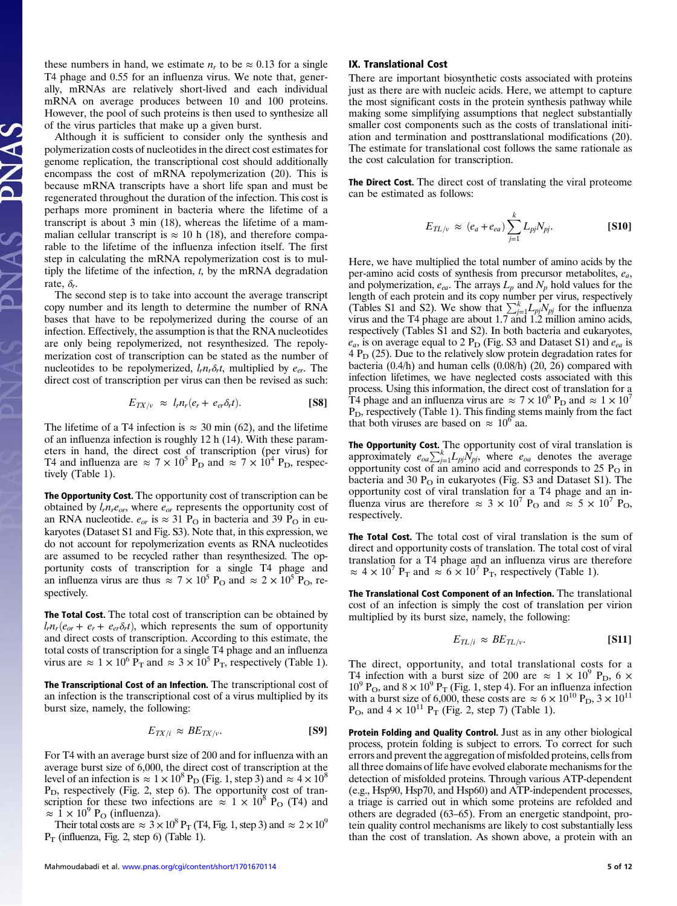these numbers in hand, we estimate  $n_r$  to be  $\approx 0.13$  for a single T4 phage and 0.55 for an influenza virus. We note that, generally, mRNAs are relatively short-lived and each individual mRNA on average produces between 10 and 100 proteins. However, the pool of such proteins is then used to synthesize all of the virus particles that make up a given burst.

Although it is sufficient to consider only the synthesis and polymerization costs of nucleotides in the direct cost estimates for genome replication, the transcriptional cost should additionally encompass the cost of mRNA repolymerization (20). This is because mRNA transcripts have a short life span and must be regenerated throughout the duration of the infection. This cost is perhaps more prominent in bacteria where the lifetime of a transcript is about 3 min (18), whereas the lifetime of a mammalian cellular transcript is  $\approx 10$  h (18), and therefore comparable to the lifetime of the influenza infection itself. The first step in calculating the mRNA repolymerization cost is to multiply the lifetime of the infection,  $t$ , by the mRNA degradation rate,  $\delta_r$ .

The second step is to take into account the average transcript copy number and its length to determine the number of RNA bases that have to be repolymerized during the course of an infection. Effectively, the assumption is that the RNA nucleotides are only being repolymerized, not resynthesized. The repolymerization cost of transcription can be stated as the number of nucleotides to be repolymerized,  $l_r n_r \delta_r t$ , multiplied by  $e_{er}$ . The direct cost of transcription per virus can then be revised as such:

$$
E_{TX/\nu} \approx l_r n_r (e_r + e_{er} \delta_r t). \tag{S8}
$$

The lifetime of a T4 infection is  $\approx 30$  min (62), and the lifetime of an influenza infection is roughly 12 h (14). With these parameters in hand, the direct cost of transcription (per virus) for T4 and influenza are  $\approx 7 \times 10^5$  P<sub>D</sub> and  $\approx 7 \times 10^4$  P<sub>D</sub>, respectively (Table 1).

The Opportunity Cost. The opportunity cost of transcription can be obtained by  $l_r n_r e_{or}$ , where  $e_{or}$  represents the opportunity cost of an RNA nucleotide.  $e_{or}$  is  $\approx$  31 P<sub>O</sub> in bacteria and 39 P<sub>O</sub> in eukaryotes (Dataset S1 and Fig. S3). Note that, in this expression, we do not account for repolymerization events as RNA nucleotides are assumed to be recycled rather than resynthesized. The opportunity costs of transcription for a single T4 phage and an influenza virus are thus  $\approx 7 \times 10^5$  P<sub>O</sub> and  $\approx 2 \times 10^5$  P<sub>O</sub>, respectively.

The Total Cost. The total cost of transcription can be obtained by  $l_r n_r (e_{or} + e_r + e_{er} \delta_r t)$ , which represents the sum of opportunity and direct costs of transcription. According to this estimate, the total costs of transcription for a single T4 phage and an influenza virus are  $\approx 1 \times 10^6 \text{ P}_{\text{T}}$  and  $\approx 3 \times 10^5 \text{ P}_{\text{T}}$ , respectively (Table 1).

The Transcriptional Cost of an Infection. The transcriptional cost of an infection is the transcriptional cost of a virus multiplied by its burst size, namely, the following:

$$
E_{TX/i} \approx BE_{TX/\nu}.\tag{S9}
$$

For T4 with an average burst size of 200 and for influenza with an average burst size of 6,000, the direct cost of transcription at the level of an infection is  $\approx 1 \times 10^8$  P<sub>D</sub> (Fig. 1, step 3) and  $\approx 4 \times 10^8$  $P<sub>D</sub>$ , respectively (Fig. 2, step 6). The opportunity cost of transcription for these two infections are  $\approx 1 \times 10^8$  P<sub>O</sub> (T4) and  $\approx 1 \times 10^9$  P<sub>O</sub> (influenza).

Their total costs are  $\approx 3 \times 10^8$  P<sub>T</sub> (T4, Fig. 1, step 3) and  $\approx 2 \times 10^9$  $P_T$  (influenza, Fig. 2, step 6) (Table 1).

#### IX. Translational Cost

There are important biosynthetic costs associated with proteins just as there are with nucleic acids. Here, we attempt to capture the most significant costs in the protein synthesis pathway while making some simplifying assumptions that neglect substantially smaller cost components such as the costs of translational initiation and termination and posttranslational modifications (20). The estimate for translational cost follows the same rationale as the cost calculation for transcription.

The Direct Cost. The direct cost of translating the viral proteome can be estimated as follows:

$$
E_{TL/v} \approx (e_a + e_{ea}) \sum_{j=1}^{k} L_{pj} N_{pj}.
$$
 [S10]

Here, we have multiplied the total number of amino acids by the per-amino acid costs of synthesis from precursor metabolites,  $e_a$ , and polymerization,  $e_{ea}$ . The arrays  $L_p$  and  $N_p$  hold values for the length of each protein and its copy number per virus, respectively (Tables S1 and S2). We show that  $\sum_{j=1}^{k} L_{pj} N_{pj}$  for the influenza virus and the T4 phage are about 1.7 and 1.2 million amino acids, respectively (Tables S1 and S2). In both bacteria and eukaryotes,  $e_a$ , is on average equal to 2 P<sub>D</sub> (Fig. S3 and Dataset S1) and  $e_{ea}$  is  $4 P<sub>D</sub>$  (25). Due to the relatively slow protein degradation rates for bacteria  $(0.4/h)$  and human cells  $(0.08/h)$   $(20, 26)$  compared with infection lifetimes, we have neglected costs associated with this process. Using this information, the direct cost of translation for a T4 phage and an influenza virus are  $\approx 7 \times 10^6$  P<sub>D</sub> and  $\approx 1 \times 10^7$  $P_D$ , respectively (Table 1). This finding stems mainly from the fact that both viruses are based on  $\approx 10^6$  aa.

**The Opportunity Cost.** The opportunity cost of viral translation is approximately  $e_{oa} \sum_{j=1}^{k} L_{pj} N_{pj}$ , where  $e_{oa}$  denotes the average opportunity cost of an amino acid and corresponds to  $25 \text{ P}_\text{O}$  in bacteria and 30  $P<sub>O</sub>$  in eukaryotes (Fig. S3 and Dataset S1). The opportunity cost of viral translation for a T4 phage and an influenza virus are therefore  $\approx 3 \times 10^7$  P<sub>O</sub> and  $\approx 5 \times 10^7$  P<sub>O</sub>, respectively.

The Total Cost. The total cost of viral translation is the sum of direct and opportunity costs of translation. The total cost of viral translation for a T4 phage and an influenza virus are therefore  $\approx 4 \times 10^7$  P<sub>T</sub> and  $\approx 6 \times 10^7$  P<sub>T</sub>, respectively (Table 1).

The Translational Cost Component of an Infection. The translational cost of an infection is simply the cost of translation per virion multiplied by its burst size, namely, the following:

$$
E_{TL/i} \approx BE_{TL/v}.\tag{S11}
$$

The direct, opportunity, and total translational costs for a T4 infection with a burst size of 200 are  $\approx 1 \times 10^9$  P<sub>D</sub>, 6  $\times$  $10^9$  P<sub>O</sub>, and  $8 \times 10^9$  P<sub>T</sub> (Fig. 1, step 4). For an influenza infection with a burst size of 6,000, these costs are  $\approx 6 \times 10^{10}$  P<sub>D</sub>,  $3 \times 10^{11}$  $P_{\text{O}}$ , and  $4 \times 10^{11} P_{\text{T}}$  (Fig. 2, step 7) (Table 1).

Protein Folding and Quality Control. Just as in any other biological process, protein folding is subject to errors. To correct for such errors and prevent the aggregation of misfolded proteins, cells from all three domains of life have evolved elaborate mechanisms for the detection of misfolded proteins. Through various ATP-dependent (e.g., Hsp90, Hsp70, and Hsp60) and ATP-independent processes, a triage is carried out in which some proteins are refolded and others are degraded (63–65). From an energetic standpoint, protein quality control mechanisms are likely to cost substantially less than the cost of translation. As shown above, a protein with an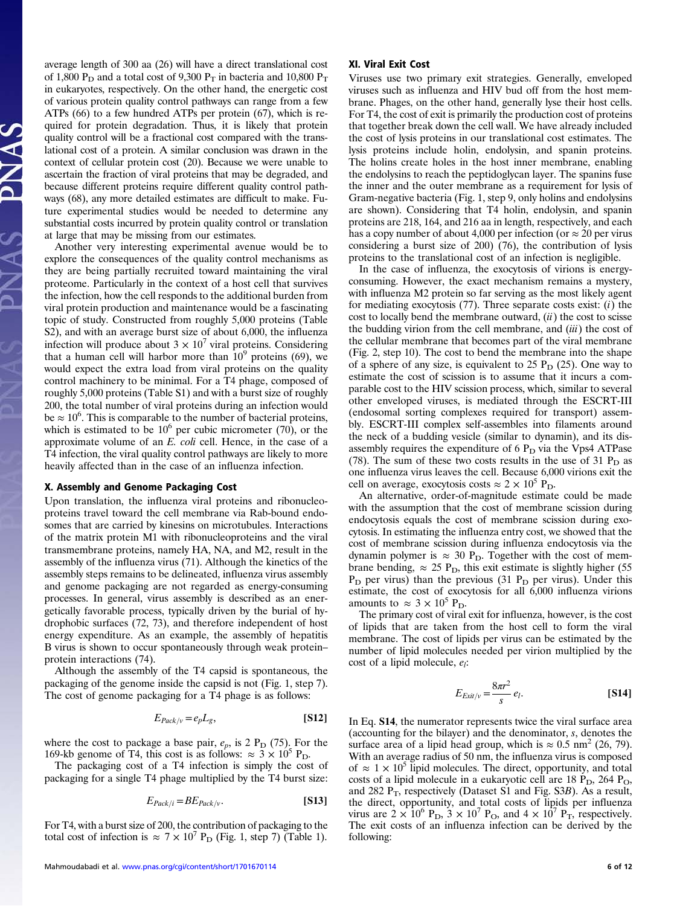average length of 300 aa (26) will have a direct translational cost of 1,800  $P_D$  and a total cost of 9,300  $P_T$  in bacteria and 10,800  $P_T$ in eukaryotes, respectively. On the other hand, the energetic cost of various protein quality control pathways can range from a few ATPs (66) to a few hundred ATPs per protein (67), which is required for protein degradation. Thus, it is likely that protein quality control will be a fractional cost compared with the translational cost of a protein. A similar conclusion was drawn in the context of cellular protein cost (20). Because we were unable to ascertain the fraction of viral proteins that may be degraded, and because different proteins require different quality control pathways (68), any more detailed estimates are difficult to make. Future experimental studies would be needed to determine any substantial costs incurred by protein quality control or translation at large that may be missing from our estimates.

Another very interesting experimental avenue would be to explore the consequences of the quality control mechanisms as they are being partially recruited toward maintaining the viral proteome. Particularly in the context of a host cell that survives the infection, how the cell responds to the additional burden from viral protein production and maintenance would be a fascinating topic of study. Constructed from roughly 5,000 proteins (Table S2), and with an average burst size of about 6,000, the influenza infection will produce about  $3 \times 10^7$  viral proteins. Considering that a human cell will harbor more than  $10^9$  proteins (69), we would expect the extra load from viral proteins on the quality control machinery to be minimal. For a T4 phage, composed of roughly 5,000 proteins (Table S1) and with a burst size of roughly 200, the total number of viral proteins during an infection would be  $\approx 10^6$ . This is comparable to the number of bacterial proteins, which is estimated to be  $10^6$  per cubic micrometer (70), or the approximate volume of an E. coli cell. Hence, in the case of a T4 infection, the viral quality control pathways are likely to more heavily affected than in the case of an influenza infection.

# X. Assembly and Genome Packaging Cost

Upon translation, the influenza viral proteins and ribonucleoproteins travel toward the cell membrane via Rab-bound endosomes that are carried by kinesins on microtubules. Interactions of the matrix protein M1 with ribonucleoproteins and the viral transmembrane proteins, namely HA, NA, and M2, result in the assembly of the influenza virus (71). Although the kinetics of the assembly steps remains to be delineated, influenza virus assembly and genome packaging are not regarded as energy-consuming processes. In general, virus assembly is described as an energetically favorable process, typically driven by the burial of hydrophobic surfaces (72, 73), and therefore independent of host energy expenditure. As an example, the assembly of hepatitis B virus is shown to occur spontaneously through weak protein– protein interactions (74).

Although the assembly of the T4 capsid is spontaneous, the packaging of the genome inside the capsid is not (Fig. 1, step 7). The cost of genome packaging for a T4 phage is as follows:

$$
E_{Pack/v} = e_p L_g, \tag{S12}
$$

where the cost to package a base pair,  $e_p$ , is 2  $P_D$  (75). For the 169-kb genome of T4, this cost is as follows:  $\approx 3 \times 10^5$  P<sub>D</sub>.

The packaging cost of a T4 infection is simply the cost of packaging for a single T4 phage multiplied by the T4 burst size:

$$
E_{Pack/i} = BE_{Pack/v}.\tag{S13}
$$

For T4, with a burst size of 200, the contribution of packaging to the total cost of infection is  $\approx 7 \times 10^7$  P<sub>D</sub> (Fig. 1, step 7) (Table 1).

### XI. Viral Exit Cost

Viruses use two primary exit strategies. Generally, enveloped viruses such as influenza and HIV bud off from the host membrane. Phages, on the other hand, generally lyse their host cells. For T4, the cost of exit is primarily the production cost of proteins that together break down the cell wall. We have already included the cost of lysis proteins in our translational cost estimates. The lysis proteins include holin, endolysin, and spanin proteins. The holins create holes in the host inner membrane, enabling the endolysins to reach the peptidoglycan layer. The spanins fuse the inner and the outer membrane as a requirement for lysis of Gram-negative bacteria (Fig. 1, step 9, only holins and endolysins are shown). Considering that T4 holin, endolysin, and spanin proteins are 218, 164, and 216 aa in length, respectively, and each has a copy number of about 4,000 per infection (or  $\approx 20$  per virus considering a burst size of 200) (76), the contribution of lysis proteins to the translational cost of an infection is negligible.

In the case of influenza, the exocytosis of virions is energyconsuming. However, the exact mechanism remains a mystery, with influenza M2 protein so far serving as the most likely agent for mediating exocytosis  $(77)$ . Three separate costs exist:  $(i)$  the cost to locally bend the membrane outward,  $(ii)$  the cost to scisse the budding virion from the cell membrane, and  $(iii)$  the cost of the cellular membrane that becomes part of the viral membrane (Fig. 2, step 10). The cost to bend the membrane into the shape of a sphere of any size, is equivalent to 25  $P_D$  (25). One way to estimate the cost of scission is to assume that it incurs a comparable cost to the HIV scission process, which, similar to several other enveloped viruses, is mediated through the ESCRT-III (endosomal sorting complexes required for transport) assembly. ESCRT-III complex self-assembles into filaments around the neck of a budding vesicle (similar to dynamin), and its disassembly requires the expenditure of  $6 P<sub>D</sub>$  via the Vps4 ATPase (78). The sum of these two costs results in the use of 31  $P_D$  as one influenza virus leaves the cell. Because 6,000 virions exit the cell on average, exocytosis costs  $\approx 2 \times 10^5$  P<sub>D</sub>.

An alternative, order-of-magnitude estimate could be made with the assumption that the cost of membrane scission during endocytosis equals the cost of membrane scission during exocytosis. In estimating the influenza entry cost, we showed that the cost of membrane scission during influenza endocytosis via the dynamin polymer is  $\approx 30 \text{ P}_{\text{D}}$ . Together with the cost of membrane bending,  $\approx 25 \text{ P_D}$ , this exit estimate is slightly higher (55)  $P_D$  per virus) than the previous (31  $P_D$  per virus). Under this estimate, the cost of exocytosis for all 6,000 influenza virions amounts to  $\approx 3 \times 10^5$  P<sub>D</sub>.

The primary cost of viral exit for influenza, however, is the cost of lipids that are taken from the host cell to form the viral membrane. The cost of lipids per virus can be estimated by the number of lipid molecules needed per virion multiplied by the cost of a lipid molecule,  $e_i$ :

$$
E_{Exit/v} = \frac{8\pi r^2}{s} e_l.
$$
 [S14]

In Eq. S14, the numerator represents twice the viral surface area (accounting for the bilayer) and the denominator, s, denotes the surface area of a lipid head group, which is  $\approx 0.5$  nm<sup>2</sup> (26, 79). With an average radius of 50 nm, the influenza virus is composed of  $\approx 1 \times 10^5$  lipid molecules. The direct, opportunity, and total costs of a lipid molecule in a eukaryotic cell are  $18 \text{ P_D}$ ,  $264 \text{ P_O}$ , and 282  $P_T$ , respectively (Dataset S1 and Fig. S3B). As a result, the direct, opportunity, and total costs of lipids per influenza virus are  $2 \times 10^6$  P<sub>D</sub>,  $3 \times 10^7$  P<sub>O</sub>, and  $4 \times 10^7$  P<sub>T</sub>, respectively. The exit costs of an influenza infection can be derived by the following: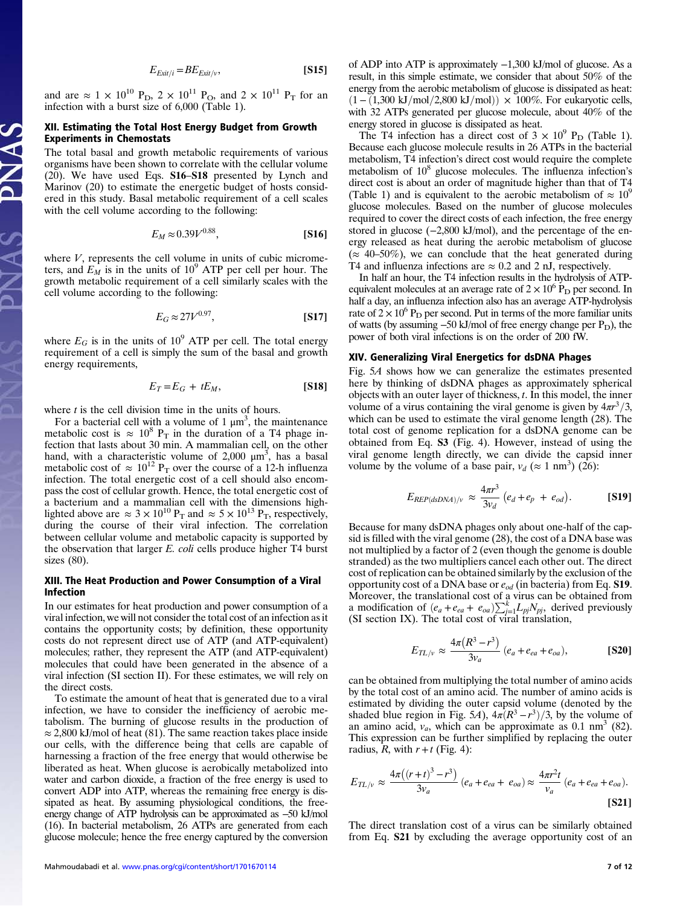$$
E_{Exit/i} = BE_{Exit/v},
$$
 [S15]

and are  $\approx 1 \times 10^{10}$  P<sub>D</sub>,  $2 \times 10^{11}$  P<sub>O</sub>, and  $2 \times 10^{11}$  P<sub>T</sub> for an infection with a burst size of 6,000 (Table 1).

# XII. Estimating the Total Host Energy Budget from Growth Experiments in Chemostats

The total basal and growth metabolic requirements of various organisms have been shown to correlate with the cellular volume (20). We have used Eqs. S16–S18 presented by Lynch and Marinov (20) to estimate the energetic budget of hosts considered in this study. Basal metabolic requirement of a cell scales with the cell volume according to the following:

$$
E_M \approx 0.39 V^{0.88}, \tag{S16}
$$

where  $V$ , represents the cell volume in units of cubic micrometers, and  $E_M$  is in the units of 10<sup>9</sup> ATP per cell per hour. The growth metabolic requirement of a cell similarly scales with the cell volume according to the following:

$$
E_G \approx 27V^{0.97},\tag{S17}
$$

where  $E_G$  is in the units of 10<sup>9</sup> ATP per cell. The total energy requirement of a cell is simply the sum of the basal and growth energy requirements,

$$
E_T = E_G + tE_M, \tag{S18}
$$

where  $t$  is the cell division time in the units of hours.

For a bacterial cell with a volume of  $1 \mu m^3$ , the maintenance metabolic cost is  $\approx 10^8$  P<sub>T</sub> in the duration of a T4 phage infection that lasts about 30 min. A mammalian cell, on the other hand, with a characteristic volume of 2,000  $\mu$ m<sup>3</sup>, has a basal metabolic cost of  $\approx 10^{12}$  P<sub>T</sub> over the course of a 12-h influenza infection. The total energetic cost of a cell should also encompass the cost of cellular growth. Hence, the total energetic cost of a bacterium and a mammalian cell with the dimensions highlighted above are  $\approx 3 \times 10^{10}$  P<sub>T</sub> and  $\approx 5 \times 10^{13}$  P<sub>T</sub>, respectively, during the course of their viral infection. The correlation between cellular volume and metabolic capacity is supported by the observation that larger E. coli cells produce higher T4 burst sizes (80).

# XIII. The Heat Production and Power Consumption of a Viral Infection

In our estimates for heat production and power consumption of a viral infection, we will not consider the total cost of an infection as it contains the opportunity costs; by definition, these opportunity costs do not represent direct use of ATP (and ATP-equivalent) molecules; rather, they represent the ATP (and ATP-equivalent) molecules that could have been generated in the absence of a viral infection (SI section II). For these estimates, we will rely on the direct costs.

To estimate the amount of heat that is generated due to a viral infection, we have to consider the inefficiency of aerobic metabolism. The burning of glucose results in the production of  $\approx$  2,800 kJ/mol of heat (81). The same reaction takes place inside our cells, with the difference being that cells are capable of harnessing a fraction of the free energy that would otherwise be liberated as heat. When glucose is aerobically metabolized into water and carbon dioxide, a fraction of the free energy is used to convert ADP into ATP, whereas the remaining free energy is dissipated as heat. By assuming physiological conditions, the freeenergy change of ATP hydrolysis can be approximated as −50 kJ/mol (16). In bacterial metabolism, 26 ATPs are generated from each glucose molecule; hence the free energy captured by the conversion

of ADP into ATP is approximately −1,300 kJ/mol of glucose. As a result, in this simple estimate, we consider that about 50% of the energy from the aerobic metabolism of glucose is dissipated as heat:  $(1 – (1,300 \text{ kJ/mol}/2,800 \text{ kJ/mol})) \times 100\%$ . For eukaryotic cells, with 32 ATPs generated per glucose molecule, about 40% of the energy stored in glucose is dissipated as heat.

The T4 infection has a direct cost of  $3 \times 10^9$  P<sub>D</sub> (Table 1). Because each glucose molecule results in 26 ATPs in the bacterial metabolism, T4 infection's direct cost would require the complete metabolism of  $10<sup>8</sup>$  glucose molecules. The influenza infection's direct cost is about an order of magnitude higher than that of T4 (Table 1) and is equivalent to the aerobic metabolism of  $\approx 10^9$ glucose molecules. Based on the number of glucose molecules required to cover the direct costs of each infection, the free energy stored in glucose (−2,800 kJ/mol), and the percentage of the energy released as heat during the aerobic metabolism of glucose  $(\approx 40-50\%)$ , we can conclude that the heat generated during T4 and influenza infections are  $\approx 0.2$  and 2 nJ, respectively.

In half an hour, the T4 infection results in the hydrolysis of ATPequivalent molecules at an average rate of  $2 \times 10^6$  P<sub>D</sub> per second. In half a day, an influenza infection also has an average ATP-hydrolysis rate of  $2 \times 10^6$  P<sub>D</sub> per second. Put in terms of the more familiar units of watts (by assuming  $-50$  kJ/mol of free energy change per  $P_D$ ), the power of both viral infections is on the order of 200 fW.

# XIV. Generalizing Viral Energetics for dsDNA Phages

Fig. 5A shows how we can generalize the estimates presented here by thinking of dsDNA phages as approximately spherical objects with an outer layer of thickness,  $t$ . In this model, the inner volume of a virus containing the viral genome is given by  $4\pi r^3/3$ , which can be used to estimate the viral genome length (28). The total cost of genome replication for a dsDNA genome can be obtained from Eq. S3 (Fig. 4). However, instead of using the viral genome length directly, we can divide the capsid inner volume by the volume of a base pair,  $v_d$  ( $\approx$  1 nm<sup>3</sup>) (26):

$$
E_{REP(dsDNA)/v} \approx \frac{4\pi r^3}{3v_d} \left( e_d + e_p + e_{od} \right). \tag{S19}
$$

Because for many dsDNA phages only about one-half of the capsid is filled with the viral genome (28), the cost of a DNA base was not multiplied by a factor of 2 (even though the genome is double stranded) as the two multipliers cancel each other out. The direct cost of replication can be obtained similarly by the exclusion of the opportunity cost of a DNA base or  $e_{od}$  (in bacteria) from Eq. **S19**. Moreover, the translational cost of a virus can be obtained from a modification of  $(e_a + e_{ea} + e_{oa})\sum_{j=1}^k L_{pj}N_{pj}$ , derived previously (SI section IX). The total cost of viral translation,

$$
E_{TL/v} \approx \frac{4\pi (R^3 - r^3)}{3v_a} (e_a + e_{ea} + e_{oa}),
$$
 [S20]

can be obtained from multiplying the total number of amino acids by the total cost of an amino acid. The number of amino acids is estimated by dividing the outer capsid volume (denoted by the shaded blue region in Fig. 5A),  $4\pi (R^3 - r^3)/3$ , by the volume of an amino acid,  $v_a$ , which can be approximate as 0.1 nm<sup>3</sup> (82). This expression can be further simplified by replacing the outer radius,  $\hat{R}$ , with  $r + t$  (Fig. 4):

$$
E_{TL/v} \approx \frac{4\pi ((r+t)^3 - r^3)}{3v_a} (e_a + e_{ea} + e_{oa}) \approx \frac{4\pi r^2 t}{v_a} (e_a + e_{ea} + e_{oa}).
$$
\n[S21]

The direct translation cost of a virus can be similarly obtained from Eq. S21 by excluding the average opportunity cost of an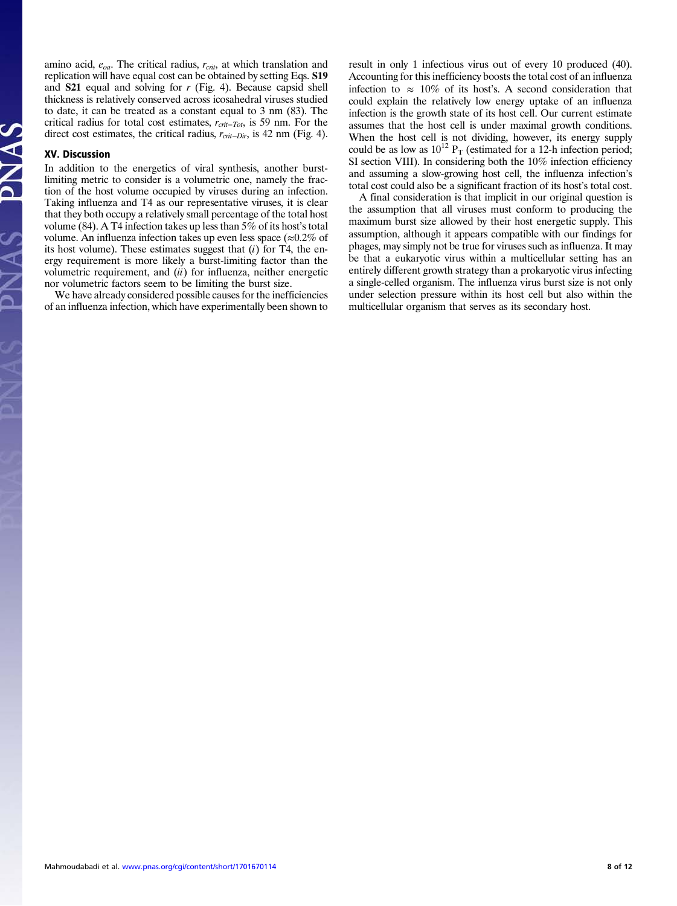amino acid,  $e_{oa}$ . The critical radius,  $r_{crit}$ , at which translation and replication will have equal cost can be obtained by setting Eqs. S19 and S21 equal and solving for r (Fig. 4). Because capsid shell thickness is relatively conserved across icosahedral viruses studied to date, it can be treated as a constant equal to 3 nm (83). The critical radius for total cost estimates,  $r_{crit-Tot}$ , is 59 nm. For the direct cost estimates, the critical radius,  $r_{crit-Dir}$ , is 42 nm (Fig. 4).

#### XV. Discussion

In addition to the energetics of viral synthesis, another burstlimiting metric to consider is a volumetric one, namely the fraction of the host volume occupied by viruses during an infection. Taking influenza and T4 as our representative viruses, it is clear that they both occupy a relatively small percentage of the total host volume (84). A T4 infection takes up less than 5% of its host's total volume. An influenza infection takes up even less space ( $\approx 0.2\%$  of its host volume). These estimates suggest that  $(i)$  for T4, the energy requirement is more likely a burst-limiting factor than the volumetric requirement, and  $(ii)$  for influenza, neither energetic nor volumetric factors seem to be limiting the burst size.

We have already considered possible causes for the inefficiencies of an influenza infection, which have experimentally been shown to result in only 1 infectious virus out of every 10 produced (40). Accounting for this inefficiency boosts the total cost of an influenza infection to  $\approx 10\%$  of its host's. A second consideration that could explain the relatively low energy uptake of an influenza infection is the growth state of its host cell. Our current estimate assumes that the host cell is under maximal growth conditions. When the host cell is not dividing, however, its energy supply could be as low as  $10^{12}$  P<sub>T</sub> (estimated for a 12-h infection period; SI section VIII). In considering both the 10% infection efficiency and assuming a slow-growing host cell, the influenza infection's total cost could also be a significant fraction of its host's total cost.

A final consideration is that implicit in our original question is the assumption that all viruses must conform to producing the maximum burst size allowed by their host energetic supply. This assumption, although it appears compatible with our findings for phages, may simply not be true for viruses such as influenza. It may be that a eukaryotic virus within a multicellular setting has an entirely different growth strategy than a prokaryotic virus infecting a single-celled organism. The influenza virus burst size is not only under selection pressure within its host cell but also within the multicellular organism that serves as its secondary host.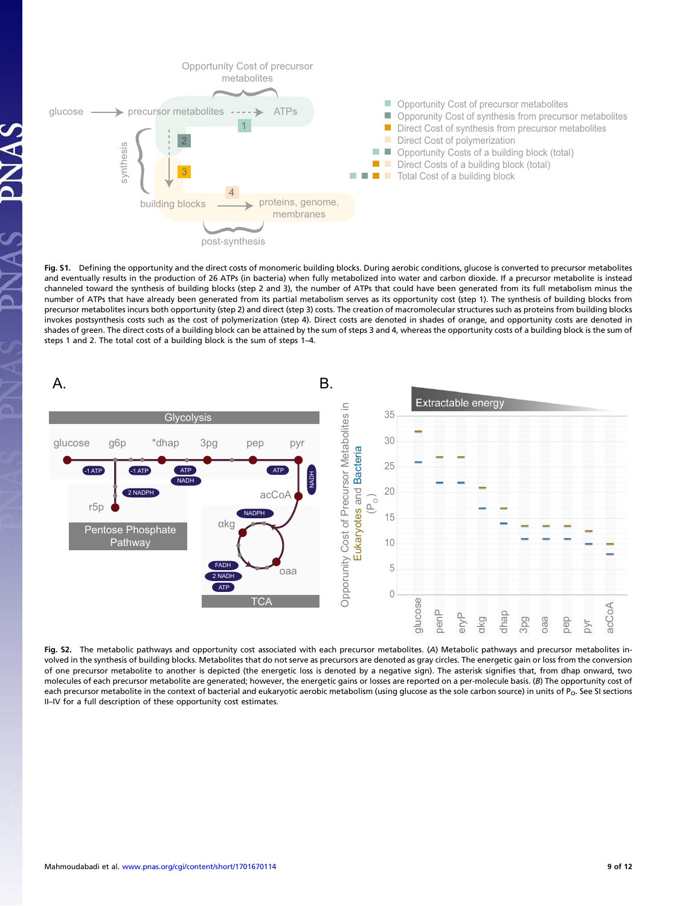

Fig. S1. Defining the opportunity and the direct costs of monomeric building blocks. During aerobic conditions, glucose is converted to precursor metabolites and eventually results in the production of 26 ATPs (in bacteria) when fully metabolized into water and carbon dioxide. If a precursor metabolite is instead channeled toward the synthesis of building blocks (step 2 and 3), the number of ATPs that could have been generated from its full metabolism minus the number of ATPs that have already been generated from its partial metabolism serves as its opportunity cost (step 1). The synthesis of building blocks from precursor metabolites incurs both opportunity (step 2) and direct (step 3) costs. The creation of macromolecular structures such as proteins from building blocks invokes postsynthesis costs such as the cost of polymerization (step 4). Direct costs are denoted in shades of orange, and opportunity costs are denoted in shades of green. The direct costs of a building block can be attained by the sum of steps 3 and 4, whereas the opportunity costs of a building block is the sum of steps 1 and 2. The total cost of a building block is the sum of steps 1–4.



Fig. S2. The metabolic pathways and opportunity cost associated with each precursor metabolites. (A) Metabolic pathways and precursor metabolites involved in the synthesis of building blocks. Metabolites that do not serve as precursors are denoted as gray circles. The energetic gain or loss from the conversion of one precursor metabolite to another is depicted (the energetic loss is denoted by a negative sign). The asterisk signifies that, from dhap onward, two molecules of each precursor metabolite are generated; however, the energetic gains or losses are reported on a per-molecule basis. (B) The opportunity cost of each precursor metabolite in the context of bacterial and eukaryotic aerobic metabolism (using glucose as the sole carbon source) in units of P<sub>O</sub>. See SI sections II–IV for a full description of these opportunity cost estimates.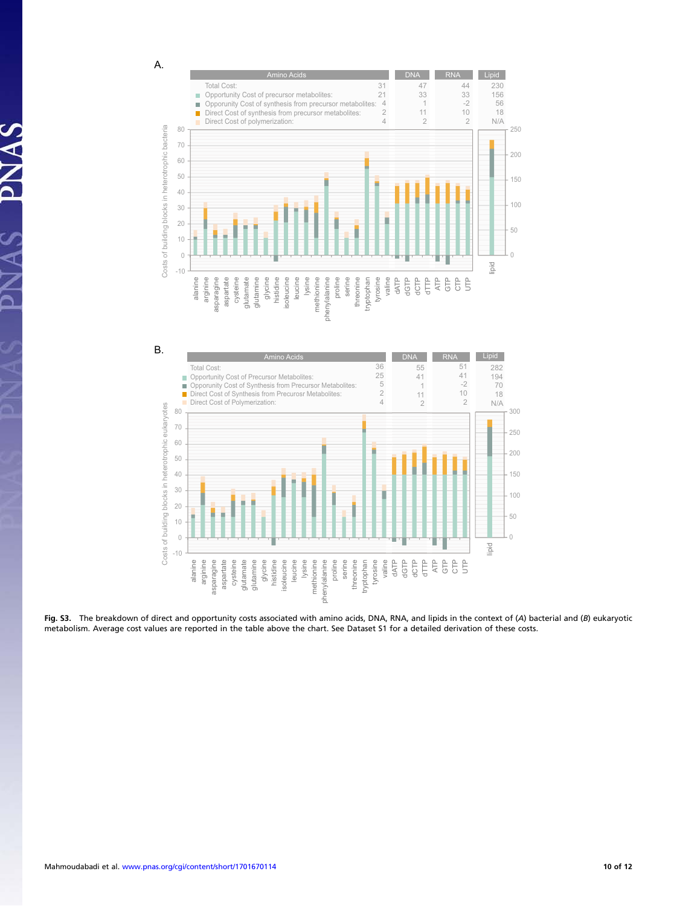A.

 $\Delta$ 





Fig. S3. The breakdown of direct and opportunity costs associated with amino acids, DNA, RNA, and lipids in the context of (A) bacterial and (B) eukaryotic metabolism. Average cost values are reported in the table above the chart. See Dataset S1 for a detailed derivation of these costs.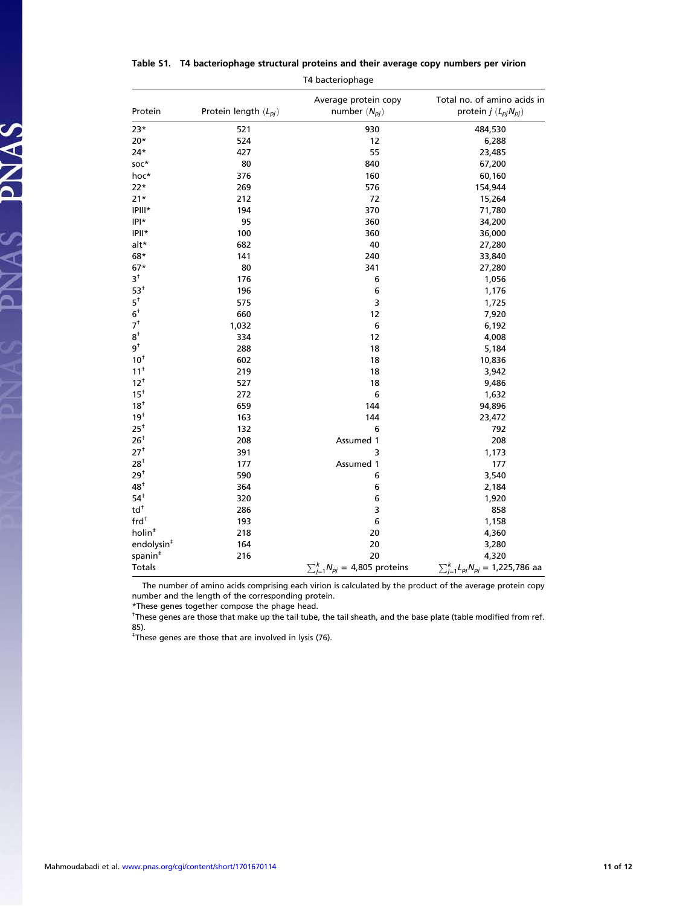| T4 bacteriophage                          |                           |                                           |                                                               |  |  |  |
|-------------------------------------------|---------------------------|-------------------------------------------|---------------------------------------------------------------|--|--|--|
| Protein                                   | Protein length $(L_{pi})$ | Average protein copy<br>number $(N_{pj})$ | Total no. of amino acids in<br>protein $j$ ( $L_{pj}N_{pj}$ ) |  |  |  |
| $23*$                                     | 521                       | 930                                       | 484,530                                                       |  |  |  |
| $20*$                                     | 524                       | 12                                        | 6,288                                                         |  |  |  |
| $24*$                                     | 427                       | 55                                        | 23,485                                                        |  |  |  |
| soc*                                      | 80                        | 840                                       | 67,200                                                        |  |  |  |
| hoc*                                      | 376                       | 160                                       | 60,160                                                        |  |  |  |
| $22*$                                     | 269                       | 576                                       | 154,944                                                       |  |  |  |
| $21*$                                     | 212                       | 72                                        | 15,264                                                        |  |  |  |
| IPIII*                                    | 194                       | 370                                       | 71,780                                                        |  |  |  |
| $ P *$                                    | 95                        | 360                                       | 34,200                                                        |  |  |  |
| IPII*                                     | 100                       | 360                                       | 36,000                                                        |  |  |  |
| alt*                                      | 682                       | 40                                        | 27,280                                                        |  |  |  |
| 68*                                       | 141                       | 240                                       | 33,840                                                        |  |  |  |
| $67*$                                     | 80                        | 341                                       | 27,280                                                        |  |  |  |
| $3^{\dagger}$                             | 176                       | 6                                         | 1,056                                                         |  |  |  |
| $53^{\dagger}$                            | 196                       | 6                                         | 1,176                                                         |  |  |  |
| $5^{\dagger}$                             | 575                       | 3                                         | 1,725                                                         |  |  |  |
| $6^{\dagger}$                             | 660                       | 12                                        | 7,920                                                         |  |  |  |
| 7 <sup>†</sup>                            | 1,032                     | 6                                         | 6,192                                                         |  |  |  |
| $8^{\dagger}$                             | 334                       | 12                                        | 4,008                                                         |  |  |  |
| $9^{\dagger}$                             | 288                       | 18                                        | 5,184                                                         |  |  |  |
| 10 <sup>†</sup>                           | 602                       | 18                                        | 10,836                                                        |  |  |  |
| 11 <sup>†</sup>                           | 219                       | 18                                        | 3,942                                                         |  |  |  |
| 12 <sup>†</sup>                           | 527                       | 18                                        | 9,486                                                         |  |  |  |
| $15^{\dagger}$                            | 272                       | 6                                         | 1,632                                                         |  |  |  |
| $18^+$                                    | 659                       | 144                                       | 94,896                                                        |  |  |  |
| 19 <sup>†</sup>                           | 163                       | 144                                       | 23,472                                                        |  |  |  |
| $25^+$                                    | 132                       | 6                                         | 792                                                           |  |  |  |
| 26 <sup>†</sup>                           | 208                       | Assumed 1                                 | 208                                                           |  |  |  |
| 27 <sup>†</sup>                           | 391                       | 3                                         | 1,173                                                         |  |  |  |
| 28 <sup>†</sup>                           | 177                       | Assumed 1                                 | 177                                                           |  |  |  |
| 29 <sup>†</sup>                           | 590                       | 6                                         | 3,540                                                         |  |  |  |
| $48^{\dagger}$                            | 364                       | 6                                         | 2,184                                                         |  |  |  |
| $54^{\dagger}$                            | 320                       | 6                                         | 1,920                                                         |  |  |  |
| $\mathsf{td}^{\scriptscriptstyle\dagger}$ | 286                       | 3                                         | 858                                                           |  |  |  |
| frd <sup>†</sup>                          | 193                       | 6                                         | 1,158                                                         |  |  |  |
| holin <sup>#</sup>                        | 218                       | 20                                        | 4,360                                                         |  |  |  |
| endolysin <sup>#</sup>                    | 164                       | 20                                        | 3,280                                                         |  |  |  |
| spanin <sup>#</sup>                       | 216                       | 20                                        | 4,320                                                         |  |  |  |
| Totals                                    |                           | $\sum_{j=1}^{k} N_{pj} = 4,805$ proteins  | $\sum_{j=1}^{k} L_{pj} N_{pj} = 1,225,786$ aa                 |  |  |  |

Table S1. T4 bacteriophage structural proteins and their average copy numbers per virion

The number of amino acids comprising each virion is calculated by the product of the average protein copy number and the length of the corresponding protein.

\*These genes together compose the phage head.

† These genes are those that make up the tail tube, the tail sheath, and the base plate (table modified from ref. 85).

‡ These genes are those that are involved in lysis (76).

PNAS PNAS